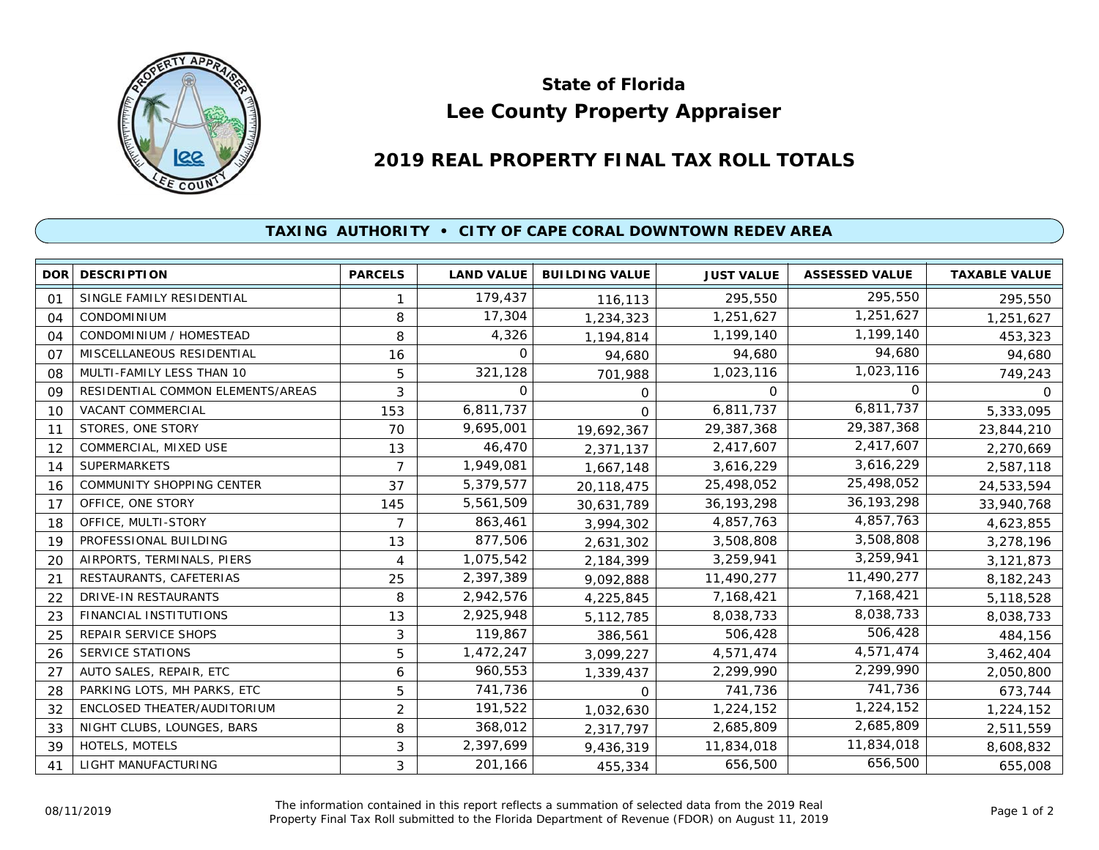

## **Lee County Property Appraiser State of Florida**

## **2019 REAL PROPERTY FINAL TAX ROLL TOTALS**

## **TAXING AUTHORITY • CITY OF CAPE CORAL DOWNTOWN REDEV AREA**

| <b>DOR</b>     | <b>DESCRIPTION</b>                | <b>PARCELS</b> | <b>LAND VALUE</b> | <b>BUILDING VALUE</b> | <b>JUST VALUE</b> | <b>ASSESSED VALUE</b> | <b>TAXABLE VALUE</b> |
|----------------|-----------------------------------|----------------|-------------------|-----------------------|-------------------|-----------------------|----------------------|
| O <sub>1</sub> | SINGLE FAMILY RESIDENTIAL         |                | 179,437           | 116,113               | 295,550           | 295,550               | 295,550              |
| 04             | CONDOMINIUM                       | 8              | 17,304            | 1,234,323             | 1,251,627         | 1,251,627             | 1,251,627            |
| 04             | CONDOMINIUM / HOMESTEAD           | 8              | 4,326             | 1,194,814             | 1,199,140         | 1,199,140             | 453,323              |
| 07             | MISCELLANEOUS RESIDENTIAL         | 16             | $\Omega$          | 94,680                | 94,680            | 94,680                | 94,680               |
| 08             | MULTI-FAMILY LESS THAN 10         | 5              | 321,128           | 701,988               | 1,023,116         | 1,023,116             | 749,243              |
| 09             | RESIDENTIAL COMMON ELEMENTS/AREAS | 3              | $\Omega$          | 0                     | $\Omega$          | <sup>o</sup>          | $\Omega$             |
| 10             | VACANT COMMERCIAL                 | 153            | 6,811,737         | $\Omega$              | 6,811,737         | 6,811,737             | 5,333,095            |
| 11             | STORES, ONE STORY                 | 70             | 9,695,001         | 19,692,367            | 29,387,368        | 29,387,368            | 23,844,210           |
| 12             | COMMERCIAL, MIXED USE             | 13             | 46,470            | 2,371,137             | 2,417,607         | 2,417,607             | 2,270,669            |
| 14             | <b>SUPERMARKETS</b>               | 7              | 1,949,081         | 1,667,148             | 3,616,229         | 3,616,229             | 2,587,118            |
| 16             | <b>COMMUNITY SHOPPING CENTER</b>  | 37             | 5,379,577         | 20,118,475            | 25,498,052        | 25,498,052            | 24,533,594           |
| 17             | OFFICE, ONE STORY                 | 145            | 5,561,509         | 30,631,789            | 36, 193, 298      | 36, 193, 298          | 33,940,768           |
| 18             | OFFICE, MULTI-STORY               | 7              | 863,461           | 3,994,302             | 4,857,763         | 4,857,763             | 4,623,855            |
| 19             | PROFESSIONAL BUILDING             | 13             | 877,506           | 2,631,302             | 3,508,808         | 3,508,808             | 3,278,196            |
| 20             | AIRPORTS, TERMINALS, PIERS        | 4              | 1,075,542         | 2,184,399             | 3,259,941         | 3,259,941             | 3,121,873            |
| 21             | RESTAURANTS, CAFETERIAS           | 25             | 2,397,389         | 9,092,888             | 11,490,277        | 11,490,277            | 8,182,243            |
| 22             | DRIVE-IN RESTAURANTS              | 8              | 2,942,576         | 4,225,845             | 7,168,421         | 7,168,421             | 5,118,528            |
| 23             | <b>FINANCIAL INSTITUTIONS</b>     | 13             | 2,925,948         | 5, 112, 785           | 8,038,733         | 8,038,733             | 8,038,733            |
| 25             | <b>REPAIR SERVICE SHOPS</b>       | 3              | 119,867           | 386,561               | 506,428           | 506,428               | 484,156              |
| 26             | SERVICE STATIONS                  | 5              | 1,472,247         | 3,099,227             | 4,571,474         | 4,571,474             | 3,462,404            |
| 27             | AUTO SALES, REPAIR, ETC           | 6              | 960,553           | 1,339,437             | 2,299,990         | 2,299,990             | 2,050,800            |
| 28             | PARKING LOTS, MH PARKS, ETC       | 5              | 741,736           | $\Omega$              | 741,736           | 741,736               | 673,744              |
| 32             | ENCLOSED THEATER/AUDITORIUM       | $\overline{2}$ | 191,522           | 1,032,630             | 1,224,152         | 1,224,152             | 1,224,152            |
| 33             | NIGHT CLUBS, LOUNGES, BARS        | 8              | 368,012           | 2,317,797             | 2,685,809         | 2,685,809             | 2,511,559            |
| 39             | HOTELS, MOTELS                    | 3              | 2,397,699         | 9,436,319             | 11,834,018        | 11,834,018            | 8,608,832            |
| 41             | LIGHT MANUFACTURING               | 3              | 201,166           | 455,334               | 656,500           | 656,500               | 655,008              |